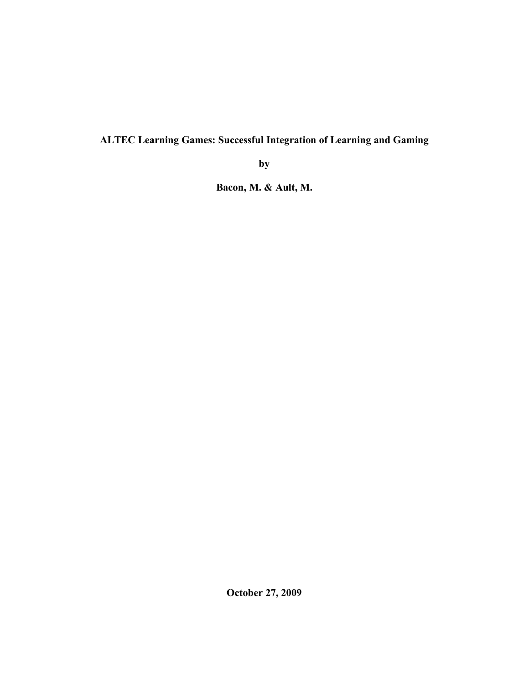# **ALTEC Learning Games: Successful Integration of Learning and Gaming**

**by**

**Bacon, M. & Ault, M.**

**October 27, 2009**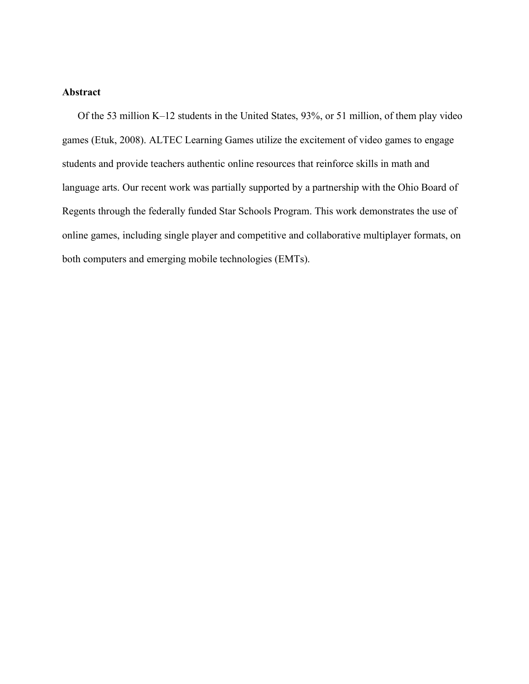### **Abstract**

Of the 53 million K–12 students in the United States, 93%, or 51 million, of them play video games (Etuk, 2008). ALTEC Learning Games utilize the excitement of video games to engage students and provide teachers authentic online resources that reinforce skills in math and language arts. Our recent work was partially supported by a partnership with the Ohio Board of Regents through the federally funded Star Schools Program. This work demonstrates the use of online games, including single player and competitive and collaborative multiplayer formats, on both computers and emerging mobile technologies (EMTs).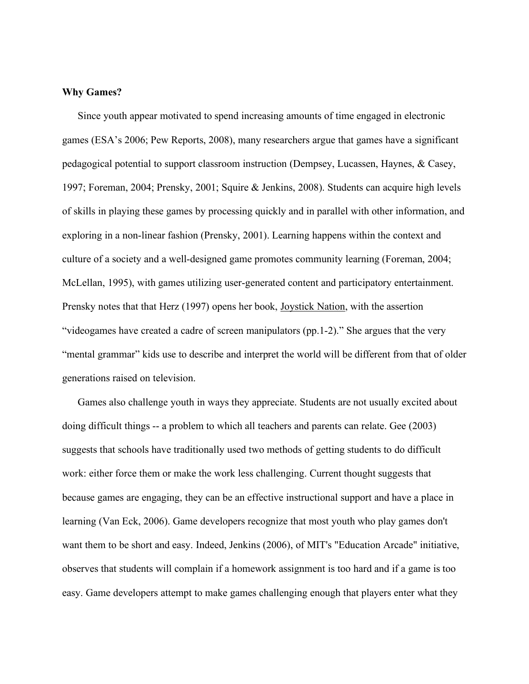### **Why Games?**

Since youth appear motivated to spend increasing amounts of time engaged in electronic games (ESA's 2006; Pew Reports, 2008), many researchers argue that games have a significant pedagogical potential to support classroom instruction (Dempsey, Lucassen, Haynes, & Casey, 1997; Foreman, 2004; Prensky, 2001; Squire & Jenkins, 2008). Students can acquire high levels of skills in playing these games by processing quickly and in parallel with other information, and exploring in a non-linear fashion (Prensky, 2001). Learning happens within the context and culture of a society and a well-designed game promotes community learning (Foreman, 2004; McLellan, 1995), with games utilizing user-generated content and participatory entertainment. Prensky notes that that Herz (1997) opens her book, Joystick Nation, with the assertion "videogames have created a cadre of screen manipulators (pp.1-2)." She argues that the very "mental grammar" kids use to describe and interpret the world will be different from that of older generations raised on television.

Games also challenge youth in ways they appreciate. Students are not usually excited about doing difficult things -- a problem to which all teachers and parents can relate. Gee (2003) suggests that schools have traditionally used two methods of getting students to do difficult work: either force them or make the work less challenging. Current thought suggests that because games are engaging, they can be an effective instructional support and have a place in learning (Van Eck, 2006). Game developers recognize that most youth who play games don't want them to be short and easy. Indeed, Jenkins (2006), of MIT's "Education Arcade" initiative, observes that students will complain if a homework assignment is too hard and if a game is too easy. Game developers attempt to make games challenging enough that players enter what they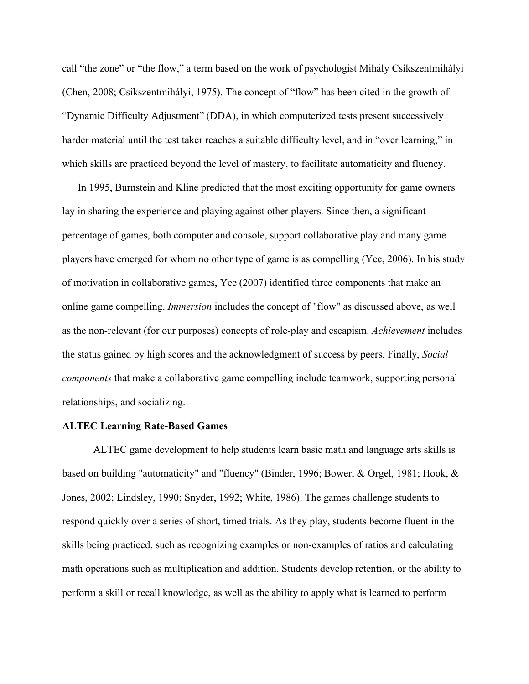call "the zone" or "the flow," a term based on the work of psychologist Mihály Csíkszentmihályi (Chen, 2008; Csíkszentmihályi, 1975). The concept of "flow" has been cited in the growth of "Dynamic Difficulty Adjustment" (DDA), in which computerized tests present successively harder material until the test taker reaches a suitable difficulty level, and in "over learning," in which skills are practiced beyond the level of mastery, to facilitate automaticity and fluency.

In 1995, Burnstein and Kline predicted that the most exciting opportunity for game owners lay in sharing the experience and playing against other players. Since then, a significant percentage of games, both computer and console, support collaborative play and many game players have emerged for whom no other type of game is as compelling (Yee, 2006). In his study of motivation in collaborative games, Yee (2007) identified three components that make an online game compelling. *Immersion* includes the concept of "flow" as discussed above, as well as the non-relevant (for our purposes) concepts of role-play and escapism. *Achievement* includes the status gained by high scores and the acknowledgment of success by peers. Finally, *Social components* that make a collaborative game compelling include teamwork, supporting personal relationships, and socializing.

### **ALTEC Learning Rate-Based Games**

ALTEC game development to help students learn basic math and language arts skills is based on building "automaticity" and "fluency" (Binder, 1996; Bower, & Orgel, 1981; Hook, & Jones, 2002; Lindsley, 1990; Snyder, 1992; White, 1986). The games challenge students to respond quickly over a series of short, timed trials. As they play, students become fluent in the skills being practiced, such as recognizing examples or non-examples of ratios and calculating math operations such as multiplication and addition. Students develop retention, or the ability to perform a skill or recall knowledge, as well as the ability to apply what is learned to perform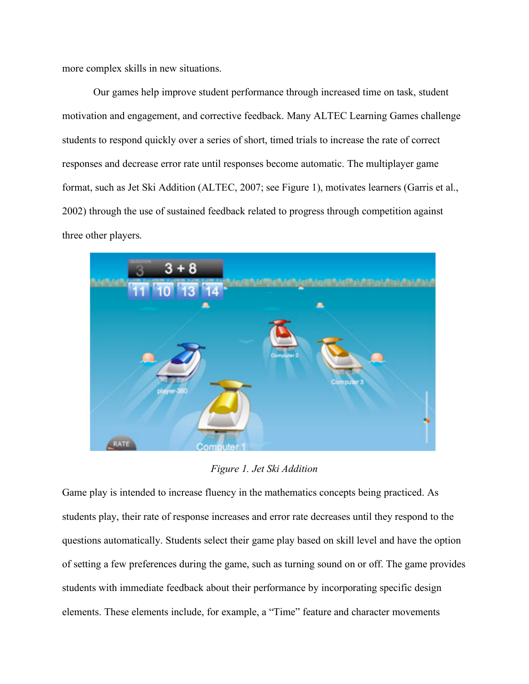more complex skills in new situations.

Our games help improve student performance through increased time on task, student motivation and engagement, and corrective feedback. Many ALTEC Learning Games challenge students to respond quickly over a series of short, timed trials to increase the rate of correct responses and decrease error rate until responses become automatic. The multiplayer game format, such as Jet Ski Addition (ALTEC, 2007; see Figure 1), motivates learners (Garris et al., 2002) through the use of sustained feedback related to progress through competition against three other players.



*Figure 1. Jet Ski Addition*

Game play is intended to increase fluency in the mathematics concepts being practiced. As students play, their rate of response increases and error rate decreases until they respond to the questions automatically. Students select their game play based on skill level and have the option of setting a few preferences during the game, such as turning sound on or off. The game provides students with immediate feedback about their performance by incorporating specific design elements. These elements include, for example, a "Time" feature and character movements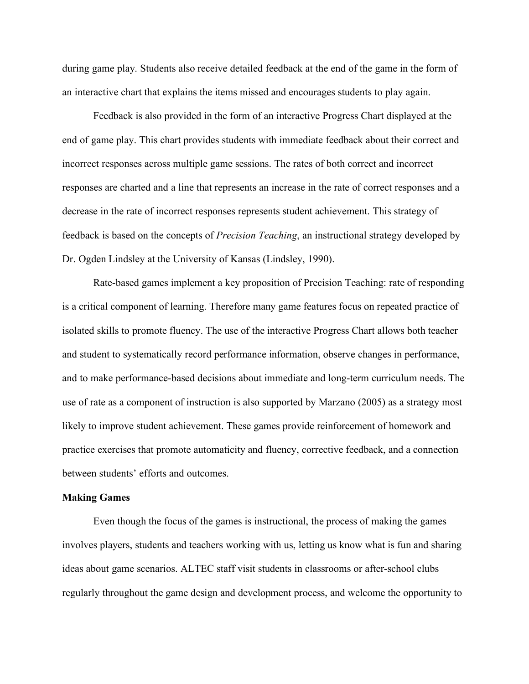during game play. Students also receive detailed feedback at the end of the game in the form of an interactive chart that explains the items missed and encourages students to play again.

Feedback is also provided in the form of an interactive Progress Chart displayed at the end of game play. This chart provides students with immediate feedback about their correct and incorrect responses across multiple game sessions. The rates of both correct and incorrect responses are charted and a line that represents an increase in the rate of correct responses and a decrease in the rate of incorrect responses represents student achievement. This strategy of feedback is based on the concepts of *Precision Teaching*, an instructional strategy developed by Dr. Ogden Lindsley at the University of Kansas (Lindsley, 1990).

Rate-based games implement a key proposition of Precision Teaching: rate of responding is a critical component of learning. Therefore many game features focus on repeated practice of isolated skills to promote fluency. The use of the interactive Progress Chart allows both teacher and student to systematically record performance information, observe changes in performance, and to make performance-based decisions about immediate and long-term curriculum needs. The use of rate as a component of instruction is also supported by Marzano (2005) as a strategy most likely to improve student achievement. These games provide reinforcement of homework and practice exercises that promote automaticity and fluency, corrective feedback, and a connection between students' efforts and outcomes.

#### **Making Games**

Even though the focus of the games is instructional, the process of making the games involves players, students and teachers working with us, letting us know what is fun and sharing ideas about game scenarios. ALTEC staff visit students in classrooms or after-school clubs regularly throughout the game design and development process, and welcome the opportunity to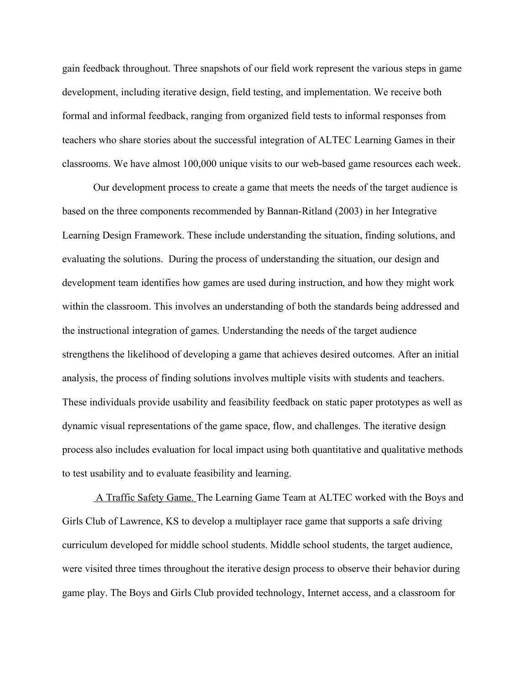gain feedback throughout. Three snapshots of our field work represent the various steps in game development, including iterative design, field testing, and implementation. We receive both formal and informal feedback, ranging from organized field tests to informal responses from teachers who share stories about the successful integration of ALTEC Learning Games in their classrooms. We have almost 100,000 unique visits to our web-based game resources each week.

Our development process to create a game that meets the needs of the target audience is based on the three components recommended by Bannan-Ritland (2003) in her Integrative Learning Design Framework. These include understanding the situation, finding solutions, and evaluating the solutions. During the process of understanding the situation, our design and development team identifies how games are used during instruction, and how they might work within the classroom. This involves an understanding of both the standards being addressed and the instructional integration of games. Understanding the needs of the target audience strengthens the likelihood of developing a game that achieves desired outcomes. After an initial analysis, the process of finding solutions involves multiple visits with students and teachers. These individuals provide usability and feasibility feedback on static paper prototypes as well as dynamic visual representations of the game space, flow, and challenges. The iterative design process also includes evaluation for local impact using both quantitative and qualitative methods to test usability and to evaluate feasibility and learning.

A Traffic Safety Game. The Learning Game Team at ALTEC worked with the Boys and Girls Club of Lawrence, KS to develop a multiplayer race game that supports a safe driving curriculum developed for middle school students. Middle school students, the target audience, were visited three times throughout the iterative design process to observe their behavior during game play. The Boys and Girls Club provided technology, Internet access, and a classroom for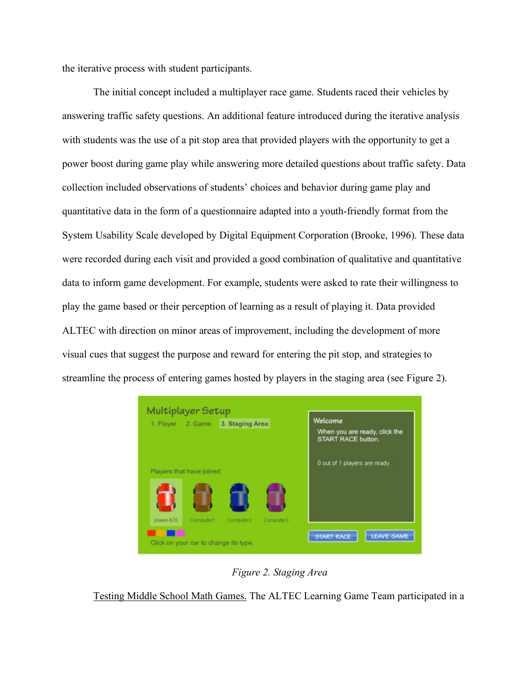the iterative process with student participants.

The initial concept included a multiplayer race game. Students raced their vehicles by answering traffic safety questions. An additional feature introduced during the iterative analysis with students was the use of a pit stop area that provided players with the opportunity to get a power boost during game play while answering more detailed questions about traffic safety. Data collection included observations of students' choices and behavior during game play and quantitative data in the form of a questionnaire adapted into a youth-friendly format from the System Usability Scale developed by Digital Equipment Corporation (Brooke, 1996). These data were recorded during each visit and provided a good combination of qualitative and quantitative data to inform game development. For example, students were asked to rate their willingness to play the game based or their perception of learning as a result of playing it. Data provided ALTEC with direction on minor areas of improvement, including the development of more visual cues that suggest the purpose and reward for entering the pit stop, and strategies to streamline the process of entering games hosted by players in the staging area (see Figure 2).



*Figure 2. Staging Area*

Testing Middle School Math Games. The ALTEC Learning Game Team participated in a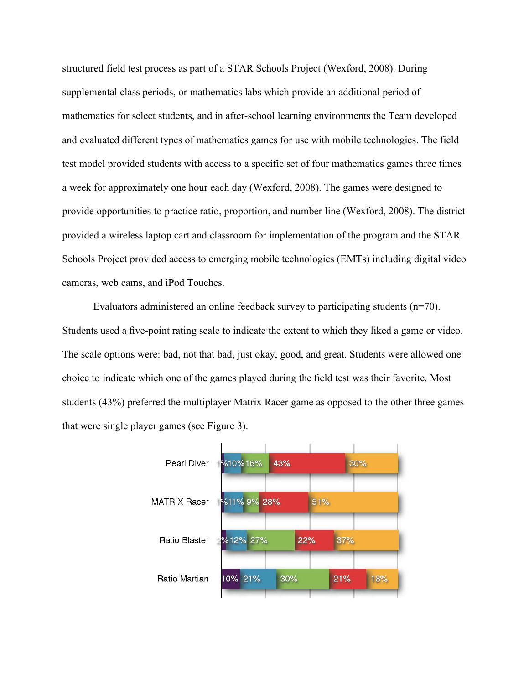structured field test process as part of a STAR Schools Project (Wexford, 2008). During supplemental class periods, or mathematics labs which provide an additional period of mathematics for select students, and in after-school learning environments the Team developed and evaluated different types of mathematics games for use with mobile technologies. The field test model provided students with access to a specific set of four mathematics games three times a week for approximately one hour each day (Wexford, 2008). The games were designed to provide opportunities to practice ratio, proportion, and number line (Wexford, 2008). The district provided a wireless laptop cart and classroom for implementation of the program and the STAR Schools Project provided access to emerging mobile technologies (EMTs) including digital video cameras, web cams, and iPod Touches.

Evaluators administered an online feedback survey to participating students (n=70). Students used a five-point rating scale to indicate the extent to which they liked a game or video. The scale options were: bad, not that bad, just okay, good, and great. Students were allowed one choice to indicate which one of the games played during the field test was their favorite. Most students (43%) preferred the multiplayer Matrix Racer game as opposed to the other three games that were single player games (see Figure 3).

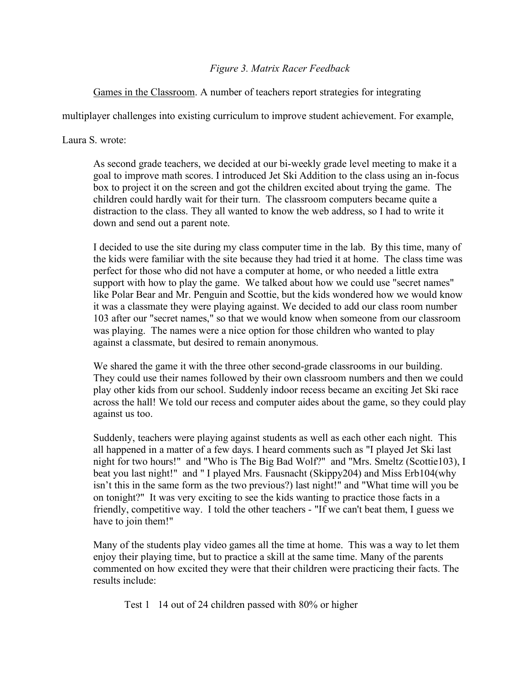# *Figure 3. Matrix Racer Feedback*

# Games in the Classroom. A number of teachers report strategies for integrating

multiplayer challenges into existing curriculum to improve student achievement. For example,

Laura S. wrote:

As second grade teachers, we decided at our bi-weekly grade level meeting to make it a goal to improve math scores. I introduced Jet Ski Addition to the class using an in-focus box to project it on the screen and got the children excited about trying the game. The children could hardly wait for their turn. The classroom computers became quite a distraction to the class. They all wanted to know the web address, so I had to write it down and send out a parent note.

I decided to use the site during my class computer time in the lab. By this time, many of the kids were familiar with the site because they had tried it at home. The class time was perfect for those who did not have a computer at home, or who needed a little extra support with how to play the game. We talked about how we could use "secret names" like Polar Bear and Mr. Penguin and Scottie, but the kids wondered how we would know it was a classmate they were playing against. We decided to add our class room number 103 after our "secret names," so that we would know when someone from our classroom was playing. The names were a nice option for those children who wanted to play against a classmate, but desired to remain anonymous.

We shared the game it with the three other second-grade classrooms in our building. They could use their names followed by their own classroom numbers and then we could play other kids from our school. Suddenly indoor recess became an exciting Jet Ski race across the hall! We told our recess and computer aides about the game, so they could play against us too.

Suddenly, teachers were playing against students as well as each other each night. This all happened in a matter of a few days. I heard comments such as "I played Jet Ski last night for two hours!" and "Who is The Big Bad Wolf?" and "Mrs. Smeltz (Scottie103), I beat you last night!" and " I played Mrs. Fausnacht (Skippy204) and Miss Erb104(why isn't this in the same form as the two previous?) last night!" and "What time will you be on tonight?" It was very exciting to see the kids wanting to practice those facts in a friendly, competitive way. I told the other teachers - "If we can't beat them, I guess we have to join them!"

Many of the students play video games all the time at home. This was a way to let them enjoy their playing time, but to practice a skill at the same time. Many of the parents commented on how excited they were that their children were practicing their facts. The results include:

Test 1 14 out of 24 children passed with 80% or higher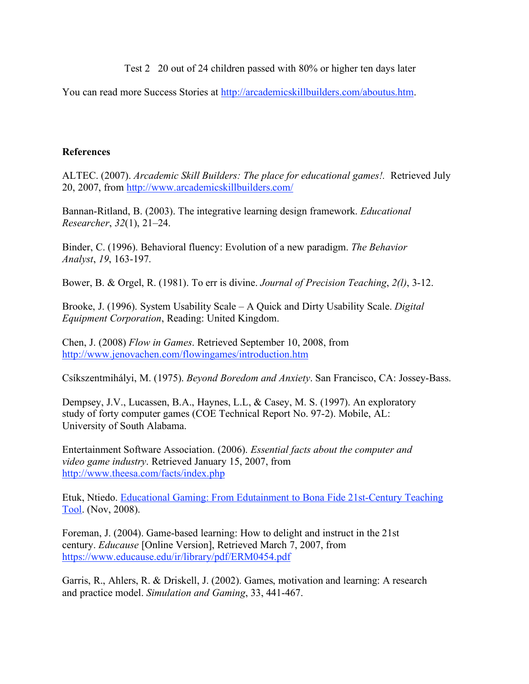Test 2 20 out of 24 children passed with 80% or higher ten days later

You can read more Success Stories at http://arcademicskillbuilders.com/aboutus.htm.

## **References**

ALTEC. (2007). *Arcademic Skill Builders: The place for educational games!.* Retrieved July 20, 2007, from http://www.arcademicskillbuilders.com/

Bannan-Ritland, B. (2003). The integrative learning design framework. *Educational Researcher*, *32*(1), 21–24.

Binder, C. (1996). Behavioral fluency: Evolution of a new paradigm. *The Behavior Analyst*, *19*, 163-197.

Bower, B. & Orgel, R. (1981). To err is divine. *Journal of Precision Teaching*, *2(l)*, 3-12.

Brooke, J. (1996). System Usability Scale – A Quick and Dirty Usability Scale. *Digital Equipment Corporation*, Reading: United Kingdom.

Chen, J. (2008) *Flow in Games*. Retrieved September 10, 2008, from http://www.jenovachen.com/flowingames/introduction.htm

Csíkszentmihályi, M. (1975). *Beyond Boredom and Anxiety*. San Francisco, CA: Jossey-Bass.

Dempsey, J.V., Lucassen, B.A., Haynes, L.L, & Casey, M. S. (1997). An exploratory study of forty computer games (COE Technical Report No. 97-2). Mobile, AL: University of South Alabama.

Entertainment Software Association. (2006). *Essential facts about the computer and video game industry*. Retrieved January 15, 2007, from http://www.theesa.com/facts/index.php

Etuk, Ntiedo. Educational Gaming: From Edutainment to Bona Fide 21st-Century Teaching Tool. (Nov, 2008).

Foreman, J. (2004). Game-based learning: How to delight and instruct in the 21st century. *Educause* [Online Version], Retrieved March 7, 2007, from https://www.educause.edu/ir/library/pdf/ERM0454.pdf

Garris, R., Ahlers, R. & Driskell, J. (2002). Games, motivation and learning: A research and practice model. *Simulation and Gaming*, 33, 441-467.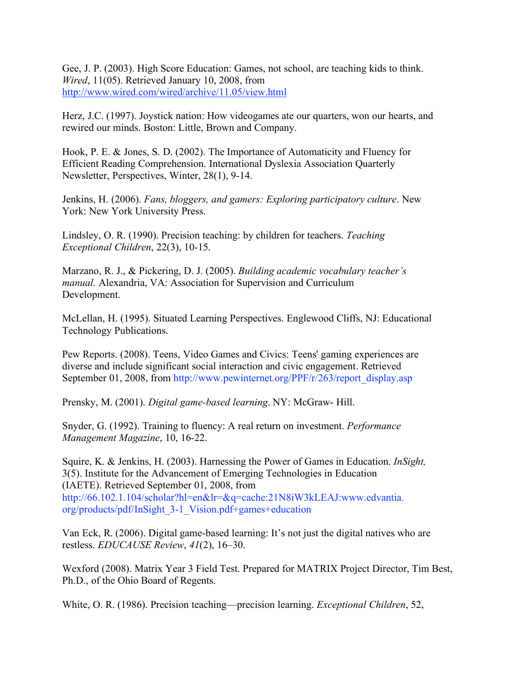Gee, J. P. (2003). High Score Education: Games, not school, are teaching kids to think. *Wired*, 11(05). Retrieved January 10, 2008, from http://www.wired.com/wired/archive/11.05/view.html

Herz, J.C. (1997). Joystick nation: How videogames ate our quarters, won our hearts, and rewired our minds. Boston: Little, Brown and Company.

Hook, P. E. & Jones, S. D. (2002). The Importance of Automaticity and Fluency for Efficient Reading Comprehension. International Dyslexia Association Quarterly Newsletter, Perspectives, Winter, 28(1), 9-14.

Jenkins, H. (2006). *Fans, bloggers, and gamers: Exploring participatory culture*. New York: New York University Press.

Lindsley, O. R. (1990). Precision teaching: by children for teachers. *Teaching Exceptional Children*, 22(3), 10-15.

Marzano, R. J., & Pickering, D. J. (2005). *Building academic vocabulary teacher's manual.* Alexandria, VA: Association for Supervision and Curriculum Development.

McLellan, H. (1995). Situated Learning Perspectives. Englewood Cliffs, NJ: Educational Technology Publications.

Pew Reports. (2008). Teens, Video Games and Civics: Teens' gaming experiences are diverse and include significant social interaction and civic engagement. Retrieved September 01, 2008, from http://www.pewinternet.org/PPF/r/263/report\_display.asp

Prensky, M. (2001). *Digital game-based learning*. NY: McGraw- Hill.

Snyder, G. (1992). Training to fluency: A real return on investment. *Performance Management Magazine*, 10, 16-22.

Squire, K. & Jenkins, H. (2003). Harnessing the Power of Games in Education. *InSight,* 3(5). Institute for the Advancement of Emerging Technologies in Education (IAETE). Retrieved September 01, 2008, from http://66.102.1.104/scholar?hl=en&lr=&q=cache:21N8iW3kLEAJ:www.edvantia. org/products/pdf/InSight\_3-1\_Vision.pdf+games+education

Van Eck, R. (2006). Digital game-based learning: It's not just the digital natives who are restless. *EDUCAUSE Review*, *41*(2), 16–30.

Wexford (2008). Matrix Year 3 Field Test. Prepared for MATRIX Project Director, Tim Best, Ph.D., of the Ohio Board of Regents.

White, O. R. (1986). Precision teaching—precision learning. *Exceptional Children*, 52,